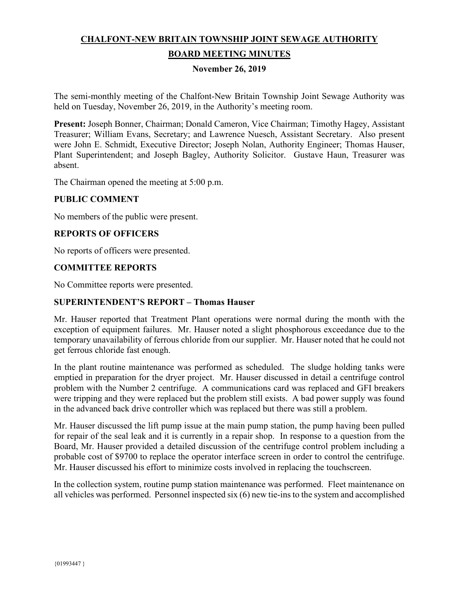# **CHALFONT-NEW BRITAIN TOWNSHIP JOINT SEWAGE AUTHORITY BOARD MEETING MINUTES**

#### **November 26, 2019**

The semi-monthly meeting of the Chalfont-New Britain Township Joint Sewage Authority was held on Tuesday, November 26, 2019, in the Authority's meeting room.

**Present:** Joseph Bonner, Chairman; Donald Cameron, Vice Chairman; Timothy Hagey, Assistant Treasurer; William Evans, Secretary; and Lawrence Nuesch, Assistant Secretary. Also present were John E. Schmidt, Executive Director; Joseph Nolan, Authority Engineer; Thomas Hauser, Plant Superintendent; and Joseph Bagley, Authority Solicitor. Gustave Haun, Treasurer was absent.

The Chairman opened the meeting at 5:00 p.m.

#### **PUBLIC COMMENT**

No members of the public were present.

#### **REPORTS OF OFFICERS**

No reports of officers were presented.

#### **COMMITTEE REPORTS**

No Committee reports were presented.

#### **SUPERINTENDENT'S REPORT – Thomas Hauser**

Mr. Hauser reported that Treatment Plant operations were normal during the month with the exception of equipment failures. Mr. Hauser noted a slight phosphorous exceedance due to the temporary unavailability of ferrous chloride from our supplier. Mr. Hauser noted that he could not get ferrous chloride fast enough.

In the plant routine maintenance was performed as scheduled. The sludge holding tanks were emptied in preparation for the dryer project. Mr. Hauser discussed in detail a centrifuge control problem with the Number 2 centrifuge. A communications card was replaced and GFI breakers were tripping and they were replaced but the problem still exists. A bad power supply was found in the advanced back drive controller which was replaced but there was still a problem.

Mr. Hauser discussed the lift pump issue at the main pump station, the pump having been pulled for repair of the seal leak and it is currently in a repair shop. In response to a question from the Board, Mr. Hauser provided a detailed discussion of the centrifuge control problem including a probable cost of \$9700 to replace the operator interface screen in order to control the centrifuge. Mr. Hauser discussed his effort to minimize costs involved in replacing the touchscreen.

In the collection system, routine pump station maintenance was performed. Fleet maintenance on all vehicles was performed. Personnel inspected six (6) new tie-ins to the system and accomplished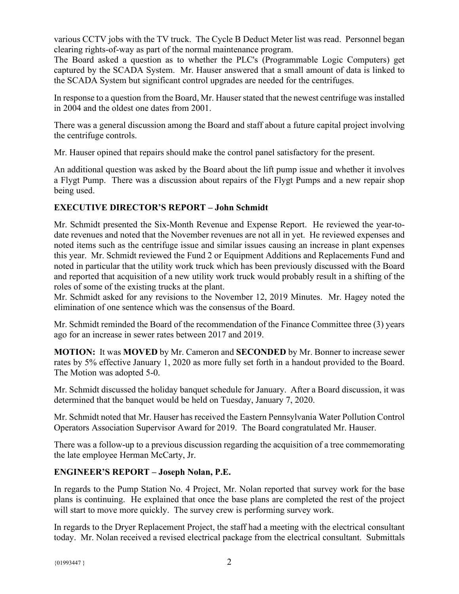various CCTV jobs with the TV truck. The Cycle B Deduct Meter list was read. Personnel began clearing rights-of-way as part of the normal maintenance program.

The Board asked a question as to whether the PLC's (Programmable Logic Computers) get captured by the SCADA System. Mr. Hauser answered that a small amount of data is linked to the SCADA System but significant control upgrades are needed for the centrifuges.

In response to a question from the Board, Mr. Hauser stated that the newest centrifuge was installed in 2004 and the oldest one dates from 2001.

There was a general discussion among the Board and staff about a future capital project involving the centrifuge controls.

Mr. Hauser opined that repairs should make the control panel satisfactory for the present.

An additional question was asked by the Board about the lift pump issue and whether it involves a Flygt Pump. There was a discussion about repairs of the Flygt Pumps and a new repair shop being used.

## **EXECUTIVE DIRECTOR'S REPORT – John Schmidt**

Mr. Schmidt presented the Six-Month Revenue and Expense Report. He reviewed the year-todate revenues and noted that the November revenues are not all in yet. He reviewed expenses and noted items such as the centrifuge issue and similar issues causing an increase in plant expenses this year. Mr. Schmidt reviewed the Fund 2 or Equipment Additions and Replacements Fund and noted in particular that the utility work truck which has been previously discussed with the Board and reported that acquisition of a new utility work truck would probably result in a shifting of the roles of some of the existing trucks at the plant.

Mr. Schmidt asked for any revisions to the November 12, 2019 Minutes. Mr. Hagey noted the elimination of one sentence which was the consensus of the Board.

Mr. Schmidt reminded the Board of the recommendation of the Finance Committee three (3) years ago for an increase in sewer rates between 2017 and 2019.

**MOTION:** It was **MOVED** by Mr. Cameron and **SECONDED** by Mr. Bonner to increase sewer rates by 5% effective January 1, 2020 as more fully set forth in a handout provided to the Board. The Motion was adopted 5-0.

Mr. Schmidt discussed the holiday banquet schedule for January. After a Board discussion, it was determined that the banquet would be held on Tuesday, January 7, 2020.

Mr. Schmidt noted that Mr. Hauser has received the Eastern Pennsylvania Water Pollution Control Operators Association Supervisor Award for 2019. The Board congratulated Mr. Hauser.

There was a follow-up to a previous discussion regarding the acquisition of a tree commemorating the late employee Herman McCarty, Jr.

### **ENGINEER'S REPORT – Joseph Nolan, P.E.**

In regards to the Pump Station No. 4 Project, Mr. Nolan reported that survey work for the base plans is continuing. He explained that once the base plans are completed the rest of the project will start to move more quickly. The survey crew is performing survey work.

In regards to the Dryer Replacement Project, the staff had a meeting with the electrical consultant today. Mr. Nolan received a revised electrical package from the electrical consultant. Submittals